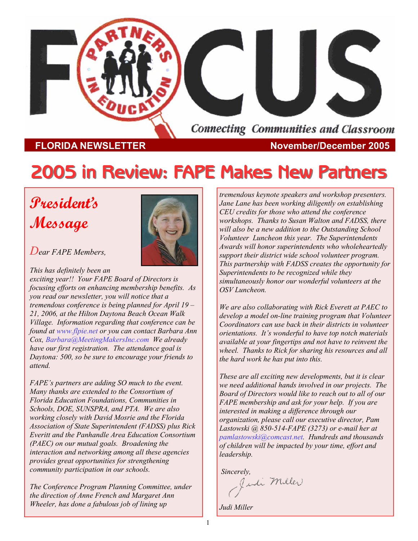

**FLORIDA NEWSLETTER November/December 2005** 

# **2005 in Review: FAPE Makes New Partners 2005 in Review: FAPE Makes New Partners**

# **President's Message**



*Dear FAPE Members,* 

*This has definitely been an exciting year!! Your FAPE Board of Directors is focusing efforts on enhancing membership benefits. As you read our newsletter, you will notice that a tremendous conference is being planned for April 19 – 21, 2006, at the Hilton Daytona Beach Ocean Walk Village. Information regarding that conference can be found at www.flpie.net or you can contact Barbara Ann Cox, Barbara@MeetingMakersInc.com We already have our first registration. The attendance goal is Daytona: 500, so be sure to encourage your friends to attend.* 

*FAPE's partners are adding SO much to the event. Many thanks are extended to the Consortium of Florida Education Foundations, Communities in Schools, DOE, SUNSPRA, and PTA. We are also working closely with David Mosrie and the Florida Association of State Superintendent (FADSS) plus Rick Everitt and the Panhandle Area Education Consortium (PAEC) on our mutual goals. Broadening the interaction and networking among all these agencies provides great opportunities for strengthening community participation in our schools.* 

*The Conference Program Planning Committee, under the direction of Anne French and Margaret Ann Wheeler, has done a fabulous job of lining up* 

*tremendous keynote speakers and workshop presenters. Jane Lane has been working diligently on establishing CEU credits for those who attend the conference workshops. Thanks to Susan Walton and FADSS, there will also be a new addition to the Outstanding School Volunteer Luncheon this year. The Superintendents Awards will honor superintendents who wholeheartedly support their district wide school volunteer program. This partnership with FADSS creates the opportunity for Superintendents to be recognized while they simultaneously honor our wonderful volunteers at the OSV Luncheon.* 

*We are also collaborating with Rick Everett at PAEC to develop a model on-line training program that Volunteer Coordinators can use back in their districts in volunteer orientations. It's wonderful to have top notch materials available at your fingertips and not have to reinvent the wheel. Thanks to Rick for sharing his resources and all the hard work he has put into this.* 

*These are all exciting new developments, but it is clear we need additional hands involved in our projects. The Board of Directors would like to reach out to all of our FAPE membership and ask for your help. If you are interested in making a difference through our organization, please call our executive director, Pam Lastowski @ 850-514-FAPE (3273) or e-mail her at pamlastowski@comcast.net. Hundreds and thousands of children will be impacted by your time, effort and leadership.* 

*Sincerely,* 

*Judi Miller*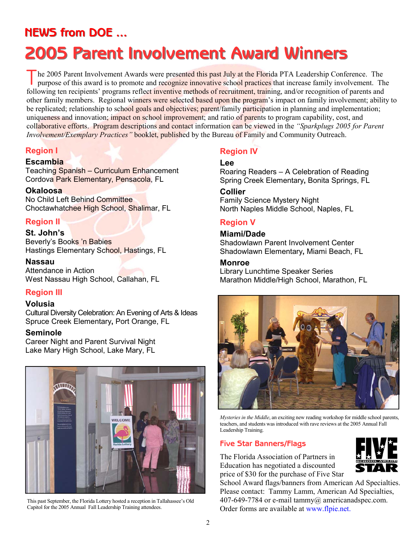# **NEWS from DOE ... NEWS from DOE ...**

# **2005 Parent Involvement Award Winners 2005 Parent Involvement Award Winners**

The 2005 Parent Involvement Awards were presented this past July at the Florida PTA Leadership Conference. The purpose of this award is to promote and recognize innovative school practices that increase family involvement. following ten recipients' programs reflect inventive methods of recruitment, training, and/or recognition of parents and other family members. Regional winners were selected based upon the program's impact on family involvement; ability to be replicated; relationship to school goals and objectives; parent/family participation in planning and implementation; uniqueness and innovation; impact on school improvement; and ratio of parents to program capability, cost, and collaborative efforts. Program descriptions and contact information can be viewed in the *"Sparkplugs 2005 for Parent Involvement/Exemplary Practices"* booklet, published by the Bureau of Family and Community Outreach.

#### **Region I**

#### **Escambia**

Teaching Spanish – Curriculum Enhancement Cordova Park Elementary, Pensacola, FL

#### **Okaloosa**

No Child Left Behind Committee Choctawhatchee High School, Shalimar, FL

#### **Region II**

**St. John's** 

Beverly's Books 'n Babies Hastings Elementary School, Hastings, FL

#### **Nassau**

Attendance in Action West Nassau High School, Callahan, FL

#### **Region III**

#### **Volusia**

Cultural Diversity Celebration: An Evening of Arts & Ideas Spruce Creek Elementary**,** Port Orange, FL

#### **Seminole**

Career Night and Parent Survival Night Lake Mary High School, Lake Mary, FL



This past September, the Florida Lottery hosted a reception in Tallahassee's Old Capitol for the 2005 Annual Fall Leadership Training attendees.

#### **Region IV**

#### **Lee**

Roaring Readers – A Celebration of Reading Spring Creek Elementary**,** Bonita Springs, FL

#### **Collier**

Family Science Mystery Night North Naples Middle School, Naples, FL

#### **Region V**

#### **Miami/Dade**

Shadowlawn Parent Involvement Center Shadowlawn Elementary**,** Miami Beach, FL

#### **Monroe**

Library Lunchtime Speaker Series Marathon Middle/High School, Marathon, FL



*Mysteries in the Middle*, an exciting new reading workshop for middle school parents, teachers, and students was introduced with rave reviews at the 2005 Annual Fall Leadership Training.

#### **Five Star Banners/Flags**

The Florida Association of Partners in Education has negotiated a discounted price of \$30 for the purchase of Five Star



School Award flags/banners from American Ad Specialties. Please contact: Tammy Lamm, American Ad Specialties, 407-649-7784 or e-mail tammy $(a)$  americanadspec.com. Order forms are available at www.flpie.net.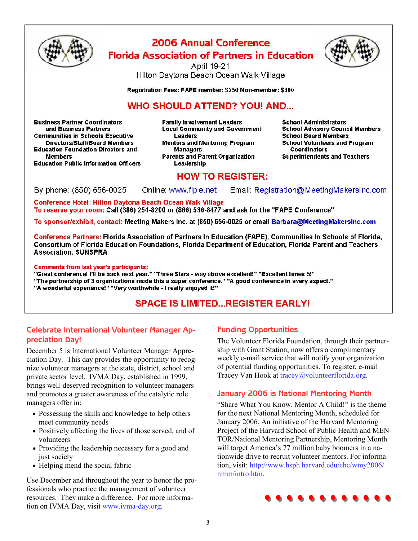

### 2006 Annual Conference **Florida Association of Partners in Education**



April 19-21 Hilton Daytona Beach Ocean Walk Village

Registration Fees: FAPE member: \$250 Non-member: \$300

#### **WHO SHOULD ATTEND? YOU! AND...**

**Business Partner Coordinators** and Business Partners **Communities in Schools Executive Directors/Staff/Board Members Education Foundation Directors and Members Education Public Information Officers** 

**Family Involvement Leaders Local Community and Government Leaders Mentors and Mentoring Program Managers Parents and Parent Organization** Leadership

**School Administrators School Advisory Council Members School Board Members School Volunteers and Program Coordinators Superintendents and Teachers** 

#### **HOW TO REGISTER:**

By phone: (850) 656-0025 Online: www.flpie.net Email: Registration@MeetingMakersInc.com

**Conference Hotel: Hilton Daytona Beach Ocean Walk Village** To reserve your room: Call (386) 254-8200 or (866) 536-8477 and ask for the "FAPE Conference"

To sponsor/exhibit, contact: Meeting Makers Inc. at (850) 656-0025 or email Barbara@MeetingMakersInc.com

Conference Partners: Florida Association of Partners In Education (FAPE), Communities In Schools of Florida, Consortium of Florida Education Foundations, Florida Department of Education, Florida Parent and Teachers **Association, SUNSPRA** 

**Comments from last year's participants:** 

"Great conference! I'll be back next year." "Three Stars - way above excellent!" "Excellent times 5!" "The partnership of 3 organizations made this a super conference." "A good conference in every aspect." "A wonderful experience!" "Very worthwhile - I really enjoyed it!"

### **SPACE IS LIMITED...REGISTER EARLY!**

#### **Celebrate International Volunteer Manager Appreciation Day!**

December 5 is International Volunteer Manager Appreciation Day. This day provides the opportunity to recognize volunteer managers at the state, district, school and private sector level. IVMA Day, established in 1999, brings well-deserved recognition to volunteer managers and promotes a greater awareness of the catalytic role managers offer in:

- Possessing the skills and knowledge to help others meet community needs
- Positively affecting the lives of those served, and of volunteers
- Providing the leadership necessary for a good and just society
- Helping mend the social fabric

Use December and throughout the year to honor the professionals who practice the management of volunteer resources. They make a difference. For more information on IVMA Day, visit www.ivma-day.org.

#### **Funding Opportunities**

The Volunteer Florida Foundation, through their partnership with Grant Station, now offers a complimentary weekly e-mail service that will notify your organization of potential funding opportunities. To register, e-mail Tracey Van Hook at tracey@volunteerflorida.org.

#### **January 2006 is National Mentoring Month**

"Share What You Know. Mentor A Child!" is the theme for the next National Mentoring Month, scheduled for January 2006. An initiative of the Harvard Mentoring Project of the Harvard School of Public Health and MEN-TOR/National Mentoring Partnership, Mentoring Month will target America's 77 million baby boomers in a nationwide drive to recruit volunteer mentors. For information, visit: http://www.hsph.harvard.edu/chc/wmy2006/ nmm/intro.htm.